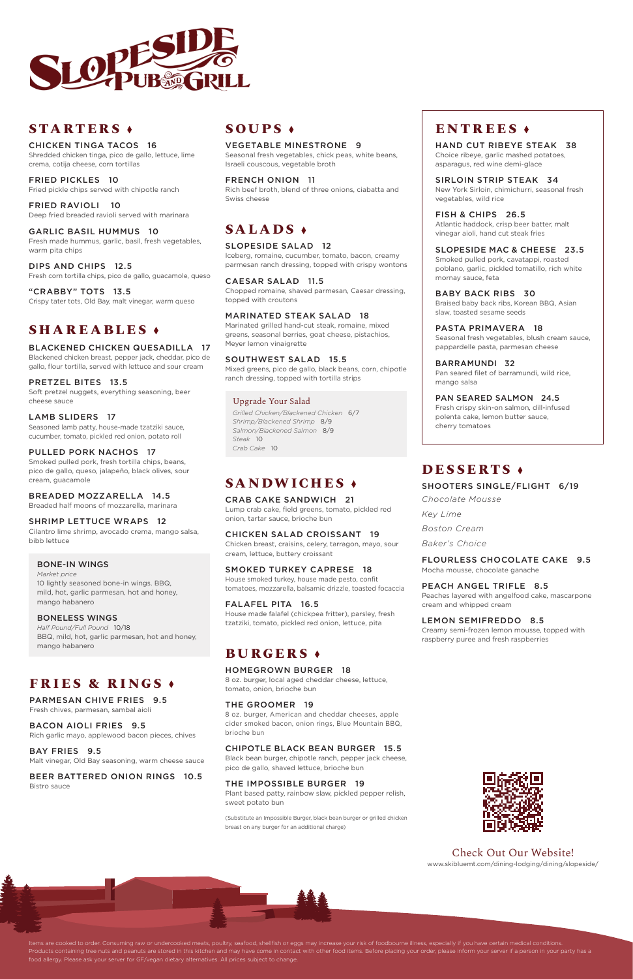

## **STARTERS**

CHICKEN TINGA TACOS 16 Shredded chicken tinga, pico de gallo, lettuce, lime crema, cotija cheese, corn tortillas

FRIED PICKLES 10 Fried pickle chips served with chipotle ranch

FRIED RAVIOLI 10 Deep fried breaded ravioli served with marinara

GARLIC BASIL HUMMUS 10 Fresh made hummus, garlic, basil, fresh vegetables, warm pita chips

DIPS AND CHIPS 12.5 Fresh corn tortilla chips, pico de gallo, guacamole, queso

"CRABBY" TOTS 13.5 Crispy tater tots, Old Bay, malt vinegar, warm queso

## **SHAREABLES**

### BLACKENED CHICKEN QUESADILLA 17

Blackened chicken breast, pepper jack, cheddar, pico de gallo, flour tortilla, served with lettuce and sour cream

PRETZEL BITES 13.5 Soft pretzel nuggets, everything seasoning, beer cheese sauce

LAMB SLIDERS 17 Seasoned lamb patty, house-made tzatziki sauce, cucumber, tomato, pickled red onion, potato roll

PULLED PORK NACHOS 17 Smoked pulled pork, fresh tortilla chips, beans, pico de gallo, queso, jalapeño, black olives, sour cream, guacamole

BREADED MOZZARELLA 14.5 Breaded half moons of mozzarella, marinara

SHRIMP LETTUCE WRAPS 12 Cilantro lime shrimp, avocado crema, mango salsa, bibb lettuce

## **ENTREES**

HAND CUT RIBEYE STEAK 38 Choice ribeye, garlic mashed potatoes, asparagus, red wine demi-glace

SIRLOIN STRIP STEAK 34 New York Sirloin, chimichurri, seasonal fresh vegetables, wild rice

FISH & CHIPS 26.5 Atlantic haddock, crisp beer batter, malt vinegar aioli, hand cut steak fries

### SLOPESIDE MAC & CHEESE 23.5

Smoked pulled pork, cavatappi, roasted poblano, garlic, pickled tomatillo, rich white mornay sauce, feta

BABY BACK RIBS 30 Braised baby back ribs, Korean BBQ, Asian slaw, toasted sesame seeds

PASTA PRIMAVERA 18 Seasonal fresh vegetables, blush cream sauce, pappardelle pasta, parmesan cheese

BARRAMUNDI 32 Pan seared filet of barramundi, wild rice, mango salsa

### PAN SEARED SALMON 24.5

Fresh crispy skin-on salmon, dill-infused polenta cake, lemon butter sauce, cherry tomatoes

## **DESSERTS**

SHOOTERS SINGLE/FLIGHT 6/19

*Chocolate Mousse*

*Key Lime*

*Boston Cream*

*Baker's Choice*

### FLOURLESS CHOCOLATE CAKE 9.5

Mocha mousse, chocolate ganache

PEACH ANGEL TRIFLE 8.5

Peaches layered with angelfood cake, mascarpone cream and whipped cream

### LEMON SEMIFREDDO 8.5

Creamy semi-frozen lemon mousse, topped with raspberry puree and fresh raspberries

## **BURGERS**

### HOMEGROWN BURGER 18

8 oz. burger, local aged cheddar cheese, lettuce, tomato, onion, brioche bun

THE GROOMER 19 8 oz. burger, American and cheddar cheeses, apple

Items are cooked to order. Consuming raw or undercooked meats, poultry, seafood, shellfish or eggs may increase your risk of foodbourne illness, especially if you have certain medical conditions. food allergy. Please ask your server for GF/vegan dietary alternatives. All prices subject to change.

cider smoked bacon, onion rings, Blue Mountain BBQ, brioche bun

#### CHIPOTLE BLACK BEAN BURGER 15.5

Black bean burger, chipotle ranch, pepper jack cheese, pico de gallo, shaved lettuce, brioche bun

### THE IMPOSSIBLE BURGER 19

Plant based patty, rainbow slaw, pickled pepper relish, sweet potato bun

(Substitute an Impossible Burger, black bean burger or grilled chicken breast on any burger for an additional charge)



## **SANDWICHES**

### CRAB CAKE SANDWICH 21

Lump crab cake, field greens, tomato, pickled red onion, tartar sauce, brioche bun

### CHICKEN SALAD CROISSANT 19

Chicken breast, craisins, celery, tarragon, mayo, sour cream, lettuce, buttery croissant

SMOKED TURKEY CAPRESE 18

House smoked turkey, house made pesto, confit tomatoes, mozzarella, balsamic drizzle, toasted focaccia

FALAFEL PITA 16.5 House made falafel (chickpea fritter), parsley, fresh tzatziki, tomato, pickled red onion, lettuce, pita

### **FRIES & RINGS**

PARMESAN CHIVE FRIES 9.5 Fresh chives, parmesan, sambal aioli

BACON AIOLI FRIES 9.5

Rich garlic mayo, applewood bacon pieces, chives

### BAY FRIES 9.5

Malt vinegar, Old Bay seasoning, warm cheese sauce

### BEER BATTERED ONION RINGS 10.5

Bistro sauce

# **SALADS**

SLOPESIDE SALAD 12 Iceberg, romaine, cucumber, tomato, bacon, creamy parmesan ranch dressing, topped with crispy wontons

CAESAR SALAD 11.5 Chopped romaine, shaved parmesan, Caesar dressing, topped with croutons

### MARINATED STEAK SALAD 18

Marinated grilled hand-cut steak, romaine, mixed greens, seasonal berries, goat cheese, pistachios, Meyer lemon vinaigrette

SOUTHWEST SALAD 15.5

Mixed greens, pico de gallo, black beans, corn, chipotle ranch dressing, topped with tortilla strips

### Upgrade Your Salad

*Grilled Chicken/Blackened Chicken* 6/7 *Shrimp/Blackened Shrimp* 8/9 *Salmon/Blackened Salmon* 8/9 *Steak* 10 *Crab Cake* 10

# **SOUPS**

VEGETABLE MINESTRONE 9 Seasonal fresh vegetables, chick peas, white beans, Israeli couscous, vegetable broth

FRENCH ONION 11 Rich beef broth, blend of three onions, ciabatta and Swiss cheese

### Check Out Our Website!

www.skibluemt.com/dining-lodging/dining/slopeside/

### BONE-IN WINGS

*Market price* 10 lightly seasoned bone-in wings. BBQ, mild, hot, garlic parmesan, hot and honey, mango habanero

BONELESS WINGS *Half Pound/Full Pound* 10/18 BBQ, mild, hot, garlic parmesan, hot and honey, mango habanero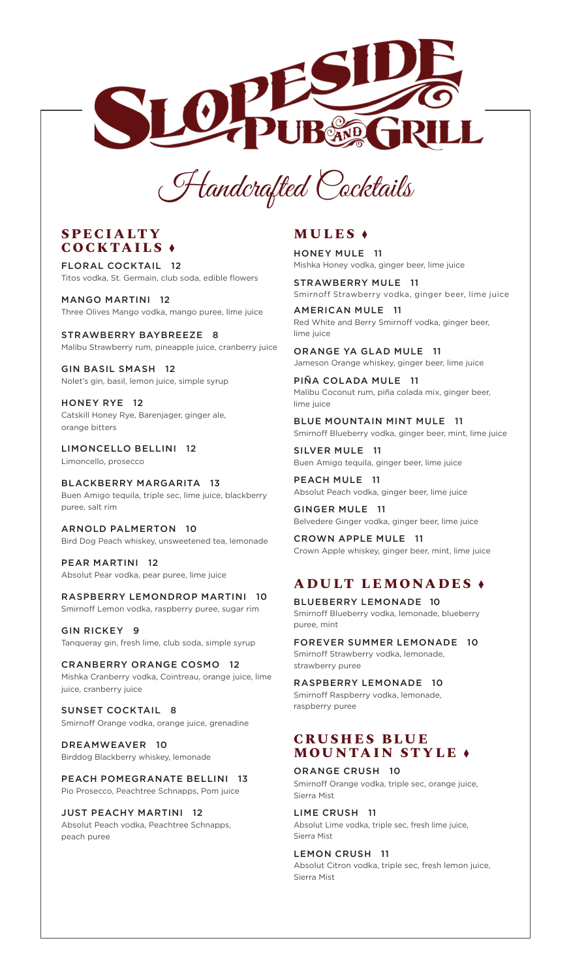

Handcrafted Cocktails

### **SPECIALTY COCKTAILS**

FLORAL COCKTAIL 12 Titos vodka, St. Germain, club soda, edible flowers

MANGO MARTINI 12 Three Olives Mango vodka, mango puree, lime juice

STRAWBERRY BAYBREEZE 8 Malibu Strawberry rum, pineapple juice, cranberry juice

GIN BASIL SMASH 12 Nolet's gin, basil, lemon juice, simple syrup

HONEY RYE 12 Catskill Honey Rye, Barenjager, ginger ale, orange bitters

LIMONCELLO BELLINI 12 Limoncello, prosecco

BLACKBERRY MARGARITA 13 Buen Amigo tequila, triple sec, lime juice, blackberry puree, salt rim

ARNOLD PALMERTON 10 Bird Dog Peach whiskey, unsweetened tea, lemonade

PEAR MARTINI 12 Absolut Pear vodka, pear puree, lime juice

RASPBERRY LEMONDROP MARTINI 10 Smirnoff Lemon vodka, raspberry puree, sugar rim

GIN RICKEY 9 Tanqueray gin, fresh lime, club soda, simple syrup

CRANBERRY ORANGE COSMO 12 Mishka Cranberry vodka, Cointreau, orange juice, lime juice, cranberry juice

SUNSET COCKTAIL 8 Smirnoff Orange vodka, orange juice, grenadine

DREAMWEAVER 10 Birddog Blackberry whiskey, lemonade

PEACH POMEGRANATE BELLINI 13 Pio Prosecco, Peachtree Schnapps, Pom juice

JUST PEACHY MARTINI 12 Absolut Peach vodka, Peachtree Schnapps, peach puree

### **MULES**

HONEY MULE 11 Mishka Honey vodka, ginger beer, lime juice

STRAWBERRY MULE 11 Smirnoff Strawberry vodka, ginger beer, lime juice

AMERICAN MULE 11 Red White and Berry Smirnoff vodka, ginger beer, lime juice

ORANGE YA GLAD MULE 11 Jameson Orange whiskey, ginger beer, lime juice

PIÑA COLADA MULE 11 Malibu Coconut rum, piña colada mix, ginger beer, lime juice

BLUE MOUNTAIN MINT MULE 11 Smirnoff Blueberry vodka, ginger beer, mint, lime juice

SILVER MULE 11 Buen Amigo tequila, ginger beer, lime juice

PEACH MULE 11 Absolut Peach vodka, ginger beer, lime juice

GINGER MULE 11 Belvedere Ginger vodka, ginger beer, lime juice

CROWN APPLE MULE 11 Crown Apple whiskey, ginger beer, mint, lime juice

### **ADULT LEMONADES**

BLUEBERRY LEMONADE 10 Smirnoff Blueberry vodka, lemonade, blueberry puree, mint

FOREVER SUMMER LEMONADE 10 Smirnoff Strawberry vodka, lemonade, strawberry puree

RASPBERRY LEMONADE 10 Smirnoff Raspberry vodka, lemonade, raspberry puree

### **CRUSHES BLUE MOUNTAIN STYLE**

ORANGE CRUSH 10 Smirnoff Orange vodka, triple sec, orange juice, Sierra Mist

LIME CRUSH 11 Absolut Lime vodka, triple sec, fresh lime juice, Sierra Mist

LEMON CRUSH 11 Absolut Citron vodka, triple sec, fresh lemon juice, Sierra Mist